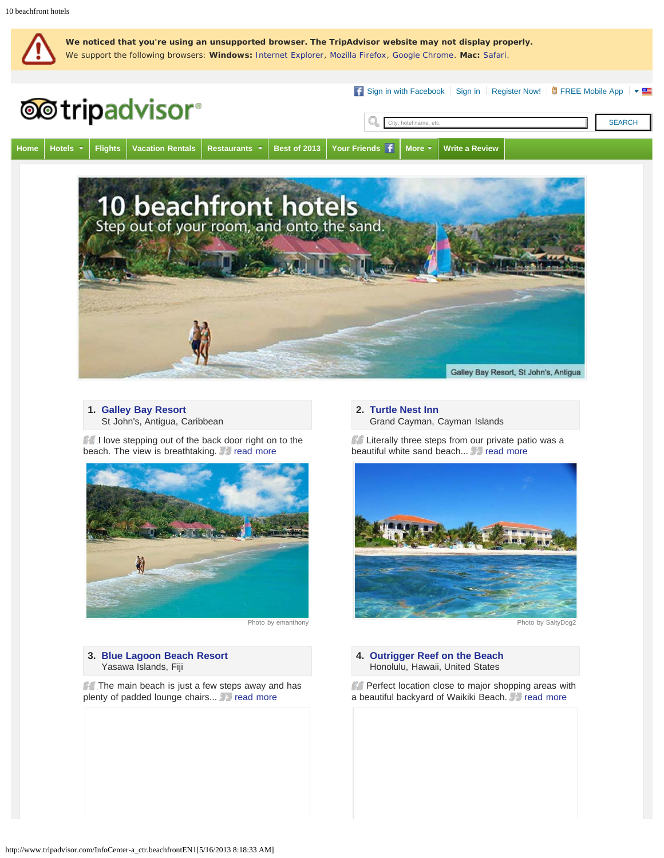

# **1. [Galley Bay Resort](http://www.tripadvisor.com/Hotel_Review-g147243-d150079-Reviews-Galley_Bay_Resort-St_John_s_Saint_John_Parish_Antigua_Antigua_and_Barbuda.html)**

St John's, Antigua, Caribbean

I love stepping out of the back door right on to the beach. The view is breathtaking. **Figure 20** read [more](http://www.tripadvisor.com/ShowUserReviews-g147243-d150079-r155151298-Galley_Bay_Resort-St_John_s_Saint_John_Parish_Antigua_Antigua_and_Barbuda.html)



Photo by emanthony

#### **3. [Blue Lagoon Beach Resort](http://www.tripadvisor.com/Hotel_Review-g1185718-d1566359-Reviews-Blue_Lagoon_Beach_Resort-Nacula_Island_Yasawa_Islands.html)** Yasawa Islands, Fiji

The main beach is just a few steps away and has plenty of padded lounge chairs... read [more](http://www.tripadvisor.com/ShowUserReviews-g1185718-d1566359-r158386655-Blue_Lagoon_Beach_Resort-Nacula_Island_Yasawa_Islands.html)

#### **2. [Turtle Nest Inn](http://www.tripadvisor.com/Hotel_Review-g147365-d149663-Reviews-Turtle_Nest_Inn-Grand_Cayman_Cayman_Islands.html)** Grand Cayman, Cayman Islands

**Literally three steps from our private patio was a** beautiful white sand beach... **Following** read [more](http://www.tripadvisor.com/ShowUserReviews-g147365-d149663-r157320200-Turtle_Nest_Inn-Grand_Cayman_Cayman_Islands.html)



Photo by SaltyDog2

**4. [Outrigger Reef on the Beach](http://www.tripadvisor.com/Hotel_Review-g60982-d87052-Reviews-Outrigger_Reef_on_the_Beach-Honolulu_Oahu_Hawaii.html)** Honolulu, Hawaii, United States

Perfect location close to major shopping areas with a beautiful backyard of Waikiki Beach. Fread [more](http://www.tripadvisor.com/ShowUserReviews-g60982-d87052-r159576614-Outrigger_Reef_on_the_Beach-Honolulu_Oahu_Hawaii.html)